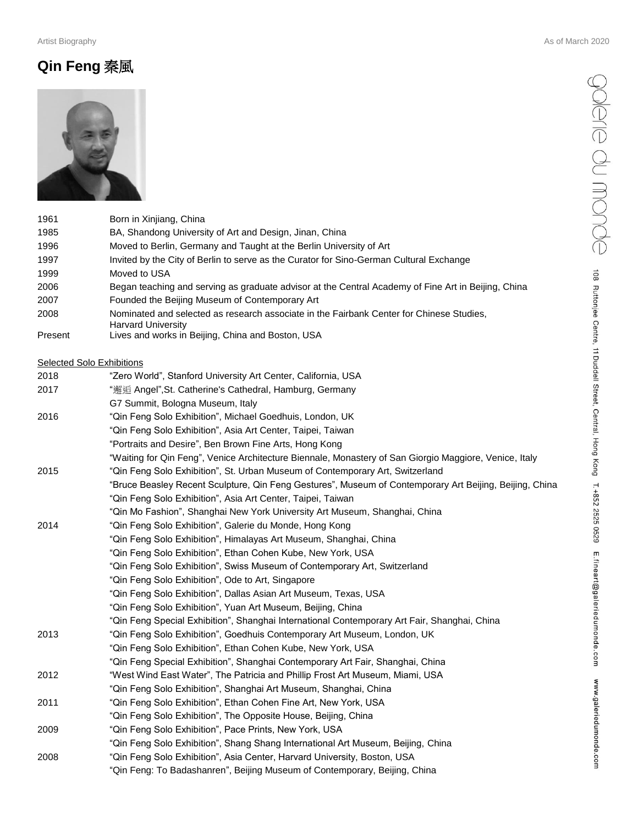## **Qin Feng** 秦風



"Qin Feng: To Badashanren", Beijing Museum of Contemporary, Beijing, China

|         |                                                                                                                       | OISIG<br>ANONG                                          |
|---------|-----------------------------------------------------------------------------------------------------------------------|---------------------------------------------------------|
| 1961    | Born in Xinjiang, China                                                                                               |                                                         |
| 1985    | BA, Shandong University of Art and Design, Jinan, China                                                               |                                                         |
| 1996    | Moved to Berlin, Germany and Taught at the Berlin University of Art                                                   |                                                         |
| 1997    | Invited by the City of Berlin to serve as the Curator for Sino-German Cultural Exchange                               |                                                         |
| 1999    | Moved to USA                                                                                                          | 108                                                     |
| 2006    | Began teaching and serving as graduate advisor at the Central Academy of Fine Art in Beijing, China                   |                                                         |
| 2007    | Founded the Beijing Museum of Contemporary Art                                                                        |                                                         |
| 2008    | Nominated and selected as research associate in the Fairbank Center for Chinese Studies,<br><b>Harvard University</b> | Ruttonjee Centre, 11 Duddell Street, Central, Hong Kong |
| Present | Lives and works in Beijing, China and Boston, USA                                                                     |                                                         |
|         | <b>Selected Solo Exhibitions</b>                                                                                      |                                                         |
| 2018    | "Zero World", Stanford University Art Center, California, USA                                                         |                                                         |
| 2017    | "邂逅 Angel", St. Catherine's Cathedral, Hamburg, Germany                                                               |                                                         |
|         | G7 Summit, Bologna Museum, Italy                                                                                      |                                                         |
| 2016    | "Qin Feng Solo Exhibition", Michael Goedhuis, London, UK                                                              |                                                         |
|         | "Qin Feng Solo Exhibition", Asia Art Center, Taipei, Taiwan                                                           |                                                         |
|         | "Portraits and Desire", Ben Brown Fine Arts, Hong Kong                                                                |                                                         |
|         | "Waiting for Qin Feng", Venice Architecture Biennale, Monastery of San Giorgio Maggiore, Venice, Italy                |                                                         |
| 2015    | "Qin Feng Solo Exhibition", St. Urban Museum of Contemporary Art, Switzerland                                         |                                                         |
|         | "Bruce Beasley Recent Sculpture, Qin Feng Gestures", Museum of Contemporary Art Beijing, Beijing, China               |                                                         |
|         | "Qin Feng Solo Exhibition", Asia Art Center, Taipei, Taiwan                                                           | T. +852 2525 0529                                       |
|         | "Qin Mo Fashion", Shanghai New York University Art Museum, Shanghai, China                                            |                                                         |
| 2014    | "Qin Feng Solo Exhibition", Galerie du Monde, Hong Kong                                                               |                                                         |
|         | "Qin Feng Solo Exhibition", Himalayas Art Museum, Shanghai, China                                                     |                                                         |
|         | "Qin Feng Solo Exhibition", Ethan Cohen Kube, New York, USA                                                           |                                                         |
|         | "Qin Feng Solo Exhibition", Swiss Museum of Contemporary Art, Switzerland                                             | E.fineart@galeriedumonde.com                            |
|         | "Qin Feng Solo Exhibition", Ode to Art, Singapore                                                                     |                                                         |
|         | "Qin Feng Solo Exhibition", Dallas Asian Art Museum, Texas, USA                                                       |                                                         |
|         | "Qin Feng Solo Exhibition", Yuan Art Museum, Beijing, China                                                           |                                                         |
|         | "Qin Feng Special Exhibition", Shanghai International Contemporary Art Fair, Shanghai, China                          |                                                         |
| 2013    | "Qin Feng Solo Exhibition", Goedhuis Contemporary Art Museum, London, UK                                              |                                                         |
|         | "Qin Feng Solo Exhibition", Ethan Cohen Kube, New York, USA                                                           |                                                         |
|         | "Qin Feng Special Exhibition", Shanghai Contemporary Art Fair, Shanghai, China                                        |                                                         |
| 2012    | "West Wind East Water", The Patricia and Phillip Frost Art Museum, Miami, USA                                         |                                                         |
|         | "Qin Feng Solo Exhibition", Shanghai Art Museum, Shanghai, China                                                      | www.galeriedumonde.con                                  |
| 2011    | "Qin Feng Solo Exhibition", Ethan Cohen Fine Art, New York, USA                                                       |                                                         |
|         | "Qin Feng Solo Exhibition", The Opposite House, Beijing, China                                                        |                                                         |
| 2009    | "Qin Feng Solo Exhibition", Pace Prints, New York, USA                                                                |                                                         |
|         | "Qin Feng Solo Exhibition", Shang Shang International Art Museum, Beijing, China                                      |                                                         |
| 2008    | "Qin Feng Solo Exhibition", Asia Center, Harvard University, Boston, USA                                              |                                                         |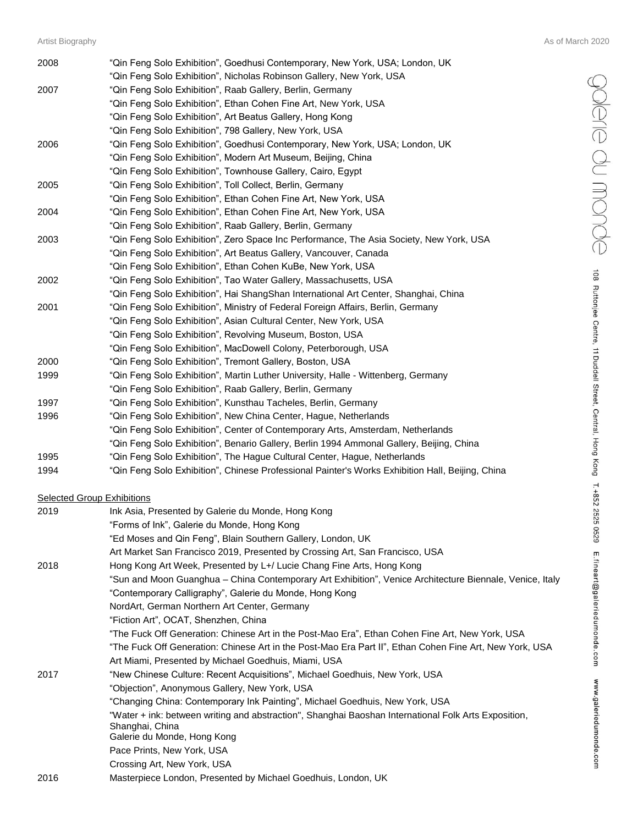| 2008 | "Qin Feng Solo Exhibition", Goedhusi Contemporary, New York, USA; London, UK                     |
|------|--------------------------------------------------------------------------------------------------|
|      | "Qin Feng Solo Exhibition", Nicholas Robinson Gallery, New York, USA                             |
| 2007 | "Qin Feng Solo Exhibition", Raab Gallery, Berlin, Germany                                        |
|      | "Qin Feng Solo Exhibition", Ethan Cohen Fine Art, New York, USA                                  |
|      | "Qin Feng Solo Exhibition", Art Beatus Gallery, Hong Kong                                        |
|      | "Qin Feng Solo Exhibition", 798 Gallery, New York, USA                                           |
| 2006 | "Qin Feng Solo Exhibition", Goedhusi Contemporary, New York, USA; London, UK                     |
|      | "Qin Feng Solo Exhibition", Modern Art Museum, Beijing, China                                    |
|      | "Qin Feng Solo Exhibition", Townhouse Gallery, Cairo, Egypt                                      |
| 2005 | "Qin Feng Solo Exhibition", Toll Collect, Berlin, Germany                                        |
|      | "Qin Feng Solo Exhibition", Ethan Cohen Fine Art, New York, USA                                  |
| 2004 | "Qin Feng Solo Exhibition", Ethan Cohen Fine Art, New York, USA                                  |
|      | "Qin Feng Solo Exhibition", Raab Gallery, Berlin, Germany                                        |
| 2003 | "Qin Feng Solo Exhibition", Zero Space Inc Performance, The Asia Society, New York, USA          |
|      | "Qin Feng Solo Exhibition", Art Beatus Gallery, Vancouver, Canada                                |
|      | "Qin Feng Solo Exhibition", Ethan Cohen KuBe, New York, USA                                      |
| 2002 | "Qin Feng Solo Exhibition", Tao Water Gallery, Massachusetts, USA                                |
|      | "Qin Feng Solo Exhibition", Hai ShangShan International Art Center, Shanghai, China              |
| 2001 | "Qin Feng Solo Exhibition", Ministry of Federal Foreign Affairs, Berlin, Germany                 |
|      | "Qin Feng Solo Exhibition", Asian Cultural Center, New York, USA                                 |
|      | "Qin Feng Solo Exhibition", Revolving Museum, Boston, USA                                        |
|      | "Qin Feng Solo Exhibition", MacDowell Colony, Peterborough, USA                                  |
| 2000 | "Qin Feng Solo Exhibition", Tremont Gallery, Boston, USA                                         |
| 1999 | "Qin Feng Solo Exhibition", Martin Luther University, Halle - Wittenberg, Germany                |
|      | "Qin Feng Solo Exhibition", Raab Gallery, Berlin, Germany                                        |
| 1997 | "Qin Feng Solo Exhibition", Kunsthau Tacheles, Berlin, Germany                                   |
| 1996 | "Qin Feng Solo Exhibition", New China Center, Hague, Netherlands                                 |
|      | "Qin Feng Solo Exhibition", Center of Contemporary Arts, Amsterdam, Netherlands                  |
|      | "Qin Feng Solo Exhibition", Benario Gallery, Berlin 1994 Ammonal Gallery, Beijing, China         |
| 1995 | "Qin Feng Solo Exhibition", The Hague Cultural Center, Hague, Netherlands                        |
| 1994 | "Qin Feng Solo Exhibition", Chinese Professional Painter's Works Exhibition Hall, Beijing, China |

## **Selected Group Exhibitions**

| 2019 | Ink Asia, Presented by Galerie du Monde, Hong Kong                                                                      |
|------|-------------------------------------------------------------------------------------------------------------------------|
|      | "Forms of Ink", Galerie du Monde, Hong Kong                                                                             |
|      | "Ed Moses and Qin Feng", Blain Southern Gallery, London, UK                                                             |
|      | Art Market San Francisco 2019, Presented by Crossing Art, San Francisco, USA                                            |
| 2018 | Hong Kong Art Week, Presented by L+/ Lucie Chang Fine Arts, Hong Kong                                                   |
|      | "Sun and Moon Guanghua - China Contemporary Art Exhibition", Venice Architecture Biennale, Venice, Italy                |
|      | "Contemporary Calligraphy", Galerie du Monde, Hong Kong                                                                 |
|      | NordArt, German Northern Art Center, Germany                                                                            |
|      | "Fiction Art", OCAT, Shenzhen, China                                                                                    |
|      | "The Fuck Off Generation: Chinese Art in the Post-Mao Era", Ethan Cohen Fine Art, New York, USA                         |
|      | "The Fuck Off Generation: Chinese Art in the Post-Mao Era Part II", Ethan Cohen Fine Art, New York, USA                 |
|      | Art Miami, Presented by Michael Goedhuis, Miami, USA                                                                    |
| 2017 | "New Chinese Culture: Recent Acquisitions", Michael Goedhuis, New York, USA                                             |
|      | "Objection", Anonymous Gallery, New York, USA                                                                           |
|      | "Changing China: Contemporary Ink Painting", Michael Goedhuis, New York, USA                                            |
|      | "Water + ink: between writing and abstraction", Shanghai Baoshan International Folk Arts Exposition,<br>Shanghai, China |
|      | Galerie du Monde, Hong Kong                                                                                             |
|      | Pace Prints, New York, USA                                                                                              |
|      | Crossing Art, New York, USA                                                                                             |
| 2016 | Masterpiece London, Presented by Michael Goedhuis, London, UK                                                           |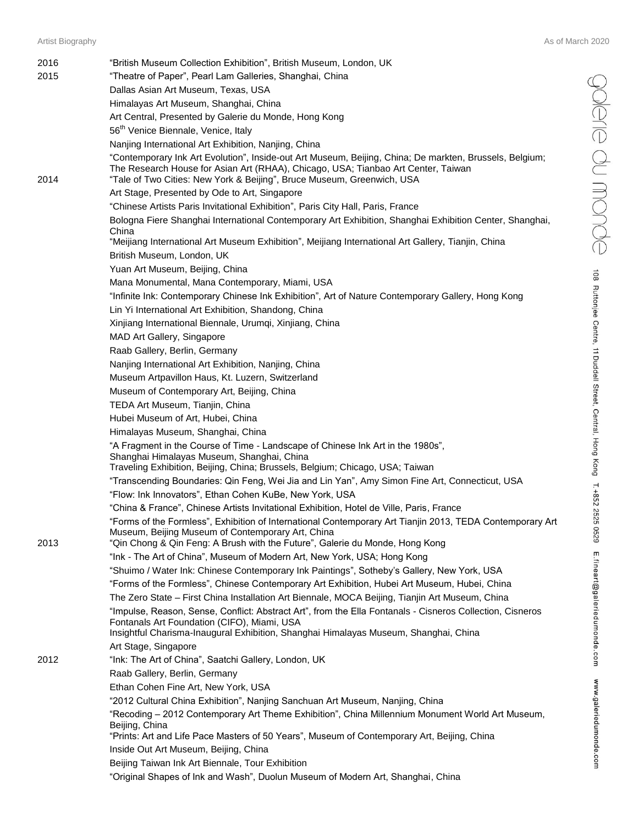$\bigcirc$   $\bigcirc$   $\bigcirc$   $\bigcirc$   $\bigcirc$   $\bigcirc$   $\bigcirc$   $\bigcirc$   $\bigcirc$  as Ruttonjee Centre, 11 Duddell Street, Central, Hong Kong T.+852 2525 0529 E.fineart@galeriedumonde.com www.galeriedumonde.com

| 2016<br>2015 | "British Museum Collection Exhibition", British Museum, London, UK<br>"Theatre of Paper", Pearl Lam Galleries, Shanghai, China                                                                                                                                         |
|--------------|------------------------------------------------------------------------------------------------------------------------------------------------------------------------------------------------------------------------------------------------------------------------|
|              | Dallas Asian Art Museum, Texas, USA                                                                                                                                                                                                                                    |
|              | Himalayas Art Museum, Shanghai, China                                                                                                                                                                                                                                  |
|              | Art Central, Presented by Galerie du Monde, Hong Kong                                                                                                                                                                                                                  |
|              | 56 <sup>th</sup> Venice Biennale, Venice, Italy                                                                                                                                                                                                                        |
|              | Nanjing International Art Exhibition, Nanjing, China                                                                                                                                                                                                                   |
| 2014         | "Contemporary Ink Art Evolution", Inside-out Art Museum, Beijing, China; De markten, Brussels, Belgium;<br>The Research House for Asian Art (RHAA), Chicago, USA; Tianbao Art Center, Taiwan<br>"Tale of Two Cities: New York & Beijing", Bruce Museum, Greenwich, USA |
|              | Art Stage, Presented by Ode to Art, Singapore                                                                                                                                                                                                                          |
|              | "Chinese Artists Paris Invitational Exhibition", Paris City Hall, Paris, France                                                                                                                                                                                        |
|              | Bologna Fiere Shanghai International Contemporary Art Exhibition, Shanghai Exhibition Center, Shanghai,<br>China                                                                                                                                                       |
|              | "Meijiang International Art Museum Exhibition", Meijiang International Art Gallery, Tianjin, China                                                                                                                                                                     |
|              | British Museum, London, UK                                                                                                                                                                                                                                             |
|              | Yuan Art Museum, Beijing, China                                                                                                                                                                                                                                        |
|              | Mana Monumental, Mana Contemporary, Miami, USA                                                                                                                                                                                                                         |
|              | "Infinite Ink: Contemporary Chinese Ink Exhibition", Art of Nature Contemporary Gallery, Hong Kong                                                                                                                                                                     |
|              | Lin Yi International Art Exhibition, Shandong, China                                                                                                                                                                                                                   |
|              | Xinjiang International Biennale, Urumqi, Xinjiang, China                                                                                                                                                                                                               |
|              | MAD Art Gallery, Singapore                                                                                                                                                                                                                                             |
|              | Raab Gallery, Berlin, Germany                                                                                                                                                                                                                                          |
|              | Nanjing International Art Exhibition, Nanjing, China                                                                                                                                                                                                                   |
|              | Museum Artpavillon Haus, Kt. Luzern, Switzerland                                                                                                                                                                                                                       |
|              | Museum of Contemporary Art, Beijing, China                                                                                                                                                                                                                             |
|              | TEDA Art Museum, Tianjin, China                                                                                                                                                                                                                                        |
|              | Hubei Museum of Art, Hubei, China                                                                                                                                                                                                                                      |
|              | Himalayas Museum, Shanghai, China                                                                                                                                                                                                                                      |
|              | "A Fragment in the Course of Time - Landscape of Chinese Ink Art in the 1980s",<br>Shanghai Himalayas Museum, Shanghai, China<br>Traveling Exhibition, Beijing, China; Brussels, Belgium; Chicago, USA; Taiwan                                                         |
|              | "Transcending Boundaries: Qin Feng, Wei Jia and Lin Yan", Amy Simon Fine Art, Connecticut, USA                                                                                                                                                                         |
|              | "Flow: Ink Innovators", Ethan Cohen KuBe, New York, USA                                                                                                                                                                                                                |
|              | "China & France", Chinese Artists Invitational Exhibition, Hotel de Ville, Paris, France                                                                                                                                                                               |
|              | "Forms of the Formless", Exhibition of International Contemporary Art Tianjin 2013, TEDA Contemporary Art<br>Museum, Beijing Museum of Contemporary Art, China                                                                                                         |
| 2013         | "Qin Chong & Qin Feng: A Brush with the Future", Galerie du Monde, Hong Kong<br>"Ink - The Art of China", Museum of Modern Art, New York, USA; Hong Kong                                                                                                               |
|              | "Shuimo / Water Ink: Chinese Contemporary Ink Paintings", Sotheby's Gallery, New York, USA                                                                                                                                                                             |
|              |                                                                                                                                                                                                                                                                        |
|              | "Forms of the Formless", Chinese Contemporary Art Exhibition, Hubei Art Museum, Hubei, China                                                                                                                                                                           |
|              | The Zero State - First China Installation Art Biennale, MOCA Beijing, Tianjin Art Museum, China<br>"Impulse, Reason, Sense, Conflict: Abstract Art", from the Ella Fontanals - Cisneros Collection, Cisneros                                                           |
|              | Fontanals Art Foundation (CIFO), Miami, USA<br>Insightful Charisma-Inaugural Exhibition, Shanghai Himalayas Museum, Shanghai, China                                                                                                                                    |
|              | Art Stage, Singapore                                                                                                                                                                                                                                                   |
| 2012         | "Ink: The Art of China", Saatchi Gallery, London, UK                                                                                                                                                                                                                   |
|              | Raab Gallery, Berlin, Germany                                                                                                                                                                                                                                          |
|              | Ethan Cohen Fine Art, New York, USA                                                                                                                                                                                                                                    |
|              | "2012 Cultural China Exhibition", Nanjing Sanchuan Art Museum, Nanjing, China                                                                                                                                                                                          |
|              | "Recoding - 2012 Contemporary Art Theme Exhibition", China Millennium Monument World Art Museum,<br>Beijing, China<br>"Prints: Art and Life Pace Masters of 50 Years", Museum of Contemporary Art, Beijing, China                                                      |
|              | Inside Out Art Museum, Beijing, China                                                                                                                                                                                                                                  |
|              | Beijing Taiwan Ink Art Biennale, Tour Exhibition                                                                                                                                                                                                                       |
|              | "Original Shapes of Ink and Wash", Duolun Museum of Modern Art, Shanghai, China                                                                                                                                                                                        |
|              |                                                                                                                                                                                                                                                                        |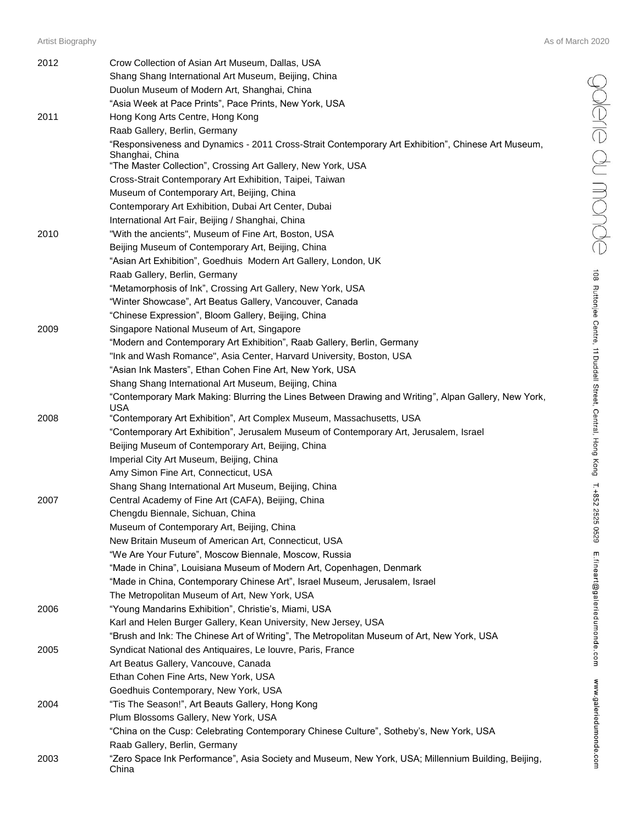| 2012 | Crow Collection of Asian Art Museum, Dallas, USA                                                                      |
|------|-----------------------------------------------------------------------------------------------------------------------|
|      | Shang Shang International Art Museum, Beijing, China                                                                  |
|      | Duolun Museum of Modern Art, Shanghai, China                                                                          |
|      | "Asia Week at Pace Prints", Pace Prints, New York, USA                                                                |
| 2011 | Hong Kong Arts Centre, Hong Kong                                                                                      |
|      | Raab Gallery, Berlin, Germany                                                                                         |
|      | "Responsiveness and Dynamics - 2011 Cross-Strait Contemporary Art Exhibition", Chinese Art Museum,<br>Shanghai, China |
|      | "The Master Collection", Crossing Art Gallery, New York, USA                                                          |
|      | Cross-Strait Contemporary Art Exhibition, Taipei, Taiwan                                                              |
|      | Museum of Contemporary Art, Beijing, China                                                                            |
|      | Contemporary Art Exhibition, Dubai Art Center, Dubai                                                                  |
|      | International Art Fair, Beijing / Shanghai, China                                                                     |
| 2010 | "With the ancients", Museum of Fine Art, Boston, USA                                                                  |
|      | Beijing Museum of Contemporary Art, Beijing, China                                                                    |
|      | "Asian Art Exhibition", Goedhuis Modern Art Gallery, London, UK                                                       |
|      | Raab Gallery, Berlin, Germany                                                                                         |
|      | "Metamorphosis of Ink", Crossing Art Gallery, New York, USA                                                           |
|      | "Winter Showcase", Art Beatus Gallery, Vancouver, Canada                                                              |
|      | "Chinese Expression", Bloom Gallery, Beijing, China                                                                   |
| 2009 | Singapore National Museum of Art, Singapore                                                                           |
|      | "Modern and Contemporary Art Exhibition", Raab Gallery, Berlin, Germany                                               |
|      | "Ink and Wash Romance", Asia Center, Harvard University, Boston, USA                                                  |
|      | "Asian Ink Masters", Ethan Cohen Fine Art, New York, USA                                                              |
|      | Shang Shang International Art Museum, Beijing, China                                                                  |
|      | "Contemporary Mark Making: Blurring the Lines Between Drawing and Writing", Alpan Gallery, New York,<br>USA           |
| 2008 | "Contemporary Art Exhibition", Art Complex Museum, Massachusetts, USA                                                 |
|      | "Contemporary Art Exhibition", Jerusalem Museum of Contemporary Art, Jerusalem, Israel                                |
|      | Beijing Museum of Contemporary Art, Beijing, China                                                                    |
|      | Imperial City Art Museum, Beijing, China                                                                              |
|      | Amy Simon Fine Art, Connecticut, USA                                                                                  |
|      | Shang Shang International Art Museum, Beijing, China                                                                  |
| 2007 | Central Academy of Fine Art (CAFA), Beijing, China                                                                    |
|      | Chengdu Biennale, Sichuan, China                                                                                      |
|      | Museum of Contemporary Art, Beijing, China                                                                            |
|      | New Britain Museum of American Art, Connecticut, USA                                                                  |
|      | "We Are Your Future", Moscow Biennale, Moscow, Russia                                                                 |
|      | "Made in China", Louisiana Museum of Modern Art, Copenhagen, Denmark                                                  |
|      | "Made in China, Contemporary Chinese Art", Israel Museum, Jerusalem, Israel                                           |
|      | The Metropolitan Museum of Art, New York, USA                                                                         |
| 2006 | "Young Mandarins Exhibition", Christie's, Miami, USA                                                                  |
|      | Karl and Helen Burger Gallery, Kean University, New Jersey, USA                                                       |
|      | "Brush and Ink: The Chinese Art of Writing", The Metropolitan Museum of Art, New York, USA                            |
| 2005 | Syndicat National des Antiquaires, Le louvre, Paris, France                                                           |
|      | Art Beatus Gallery, Vancouve, Canada                                                                                  |
|      | Ethan Cohen Fine Arts, New York, USA                                                                                  |
|      | Goedhuis Contemporary, New York, USA                                                                                  |
| 2004 | "Tis The Season!", Art Beauts Gallery, Hong Kong                                                                      |
|      | Plum Blossoms Gallery, New York, USA                                                                                  |
|      | "China on the Cusp: Celebrating Contemporary Chinese Culture", Sotheby's, New York, USA                               |
|      | Raab Gallery, Berlin, Germany                                                                                         |
| 2003 | "Zero Space Ink Performance", Asia Society and Museum, New York, USA; Millennium Building, Beijing,<br>China          |